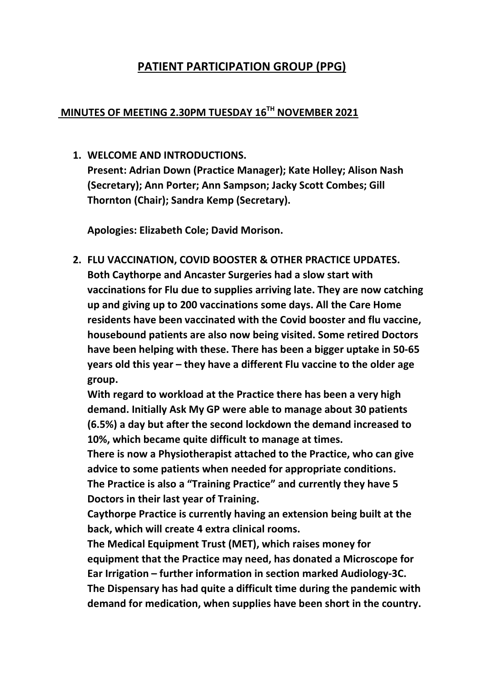# PATIENT PARTICIPATION GROUP (PPG)

#### MINUTES OF MEETING 2.30PM TUESDAY 16<sup>TH</sup> NOVEMBER 2021

1. WELCOME AND INTRODUCTIONS. Present: Adrian Down (Practice Manager); Kate Holley; Alison Nash (Secretary); Ann Porter; Ann Sampson; Jacky Scott Combes; Gill

Apologies: Elizabeth Cole; David Morison.

Thornton (Chair); Sandra Kemp (Secretary).

2. FLU VACCINATION, COVID BOOSTER & OTHER PRACTICE UPDATES. Both Caythorpe and Ancaster Surgeries had a slow start with vaccinations for Flu due to supplies arriving late. They are now catching up and giving up to 200 vaccinations some days. All the Care Home residents have been vaccinated with the Covid booster and flu vaccine, housebound patients are also now being visited. Some retired Doctors have been helping with these. There has been a bigger uptake in 50-65 years old this year – they have a different Flu vaccine to the older age group.

With regard to workload at the Practice there has been a very high demand. Initially Ask My GP were able to manage about 30 patients (6.5%) a day but after the second lockdown the demand increased to 10%, which became quite difficult to manage at times.

There is now a Physiotherapist attached to the Practice, who can give advice to some patients when needed for appropriate conditions. The Practice is also a "Training Practice" and currently they have 5 Doctors in their last year of Training.

Caythorpe Practice is currently having an extension being built at the back, which will create 4 extra clinical rooms.

The Medical Equipment Trust (MET), which raises money for equipment that the Practice may need, has donated a Microscope for Ear Irrigation – further information in section marked Audiology-3C. The Dispensary has had quite a difficult time during the pandemic with demand for medication, when supplies have been short in the country.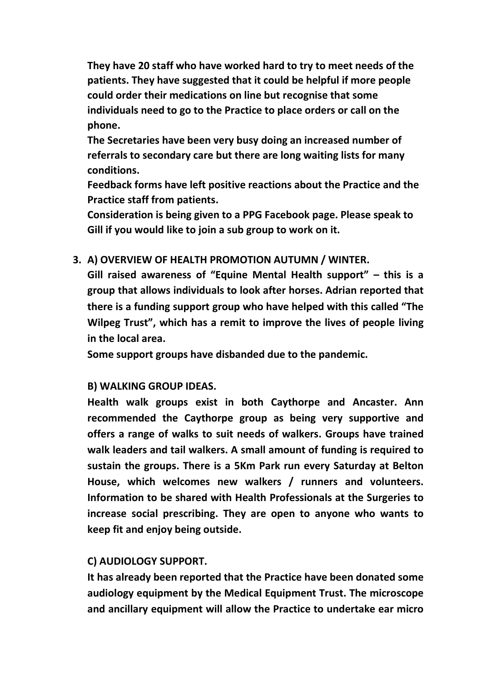They have 20 staff who have worked hard to try to meet needs of the patients. They have suggested that it could be helpful if more people could order their medications on line but recognise that some individuals need to go to the Practice to place orders or call on the phone.

The Secretaries have been very busy doing an increased number of referrals to secondary care but there are long waiting lists for many conditions.

Feedback forms have left positive reactions about the Practice and the Practice staff from patients.

Consideration is being given to a PPG Facebook page. Please speak to Gill if you would like to join a sub group to work on it.

#### 3. A) OVERVIEW OF HEALTH PROMOTION AUTUMN / WINTER.

Gill raised awareness of "Equine Mental Health support" – this is a group that allows individuals to look after horses. Adrian reported that there is a funding support group who have helped with this called "The Wilpeg Trust", which has a remit to improve the lives of people living in the local area.

Some support groups have disbanded due to the pandemic.

#### B) WALKING GROUP IDEAS.

Health walk groups exist in both Caythorpe and Ancaster. Ann recommended the Caythorpe group as being very supportive and offers a range of walks to suit needs of walkers. Groups have trained walk leaders and tail walkers. A small amount of funding is required to sustain the groups. There is a 5Km Park run every Saturday at Belton House, which welcomes new walkers / runners and volunteers. Information to be shared with Health Professionals at the Surgeries to increase social prescribing. They are open to anyone who wants to keep fit and enjoy being outside.

#### C) AUDIOLOGY SUPPORT.

It has already been reported that the Practice have been donated some audiology equipment by the Medical Equipment Trust. The microscope and ancillary equipment will allow the Practice to undertake ear micro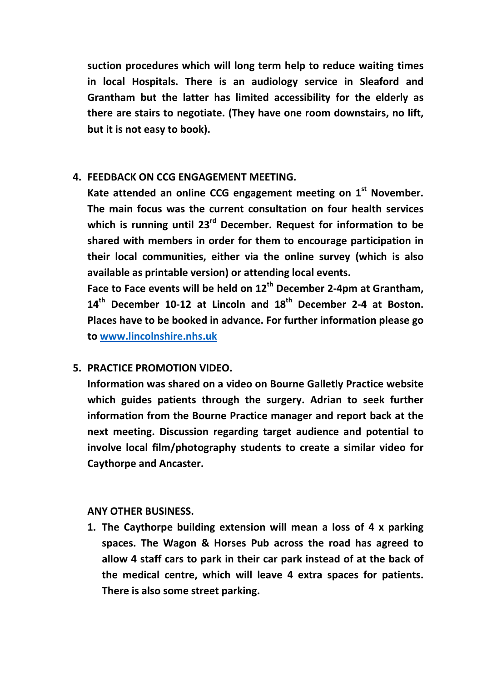suction procedures which will long term help to reduce waiting times in local Hospitals. There is an audiology service in Sleaford and Grantham but the latter has limited accessibility for the elderly as there are stairs to negotiate. (They have one room downstairs, no lift, but it is not easy to book).

### 4. FEEDBACK ON CCG ENGAGEMENT MEETING.

Kate attended an online CCG engagement meeting on 1<sup>st</sup> November. The main focus was the current consultation on four health services which is running until  $23^{rd}$  December. Request for information to be shared with members in order for them to encourage participation in their local communities, either via the online survey (which is also available as printable version) or attending local events.

Face to Face events will be held on  $12<sup>th</sup>$  December 2-4pm at Grantham,  $14<sup>th</sup>$  December 10-12 at Lincoln and  $18<sup>th</sup>$  December 2-4 at Boston. Places have to be booked in advance. For further information please go to www.lincolnshire.nhs.uk

## 5. PRACTICE PROMOTION VIDEO.

Information was shared on a video on Bourne Galletly Practice website which guides patients through the surgery. Adrian to seek further information from the Bourne Practice manager and report back at the next meeting. Discussion regarding target audience and potential to involve local film/photography students to create a similar video for Caythorpe and Ancaster.

#### ANY OTHER BUSINESS.

1. The Caythorpe building extension will mean a loss of 4 x parking spaces. The Wagon & Horses Pub across the road has agreed to allow 4 staff cars to park in their car park instead of at the back of the medical centre, which will leave 4 extra spaces for patients. There is also some street parking.